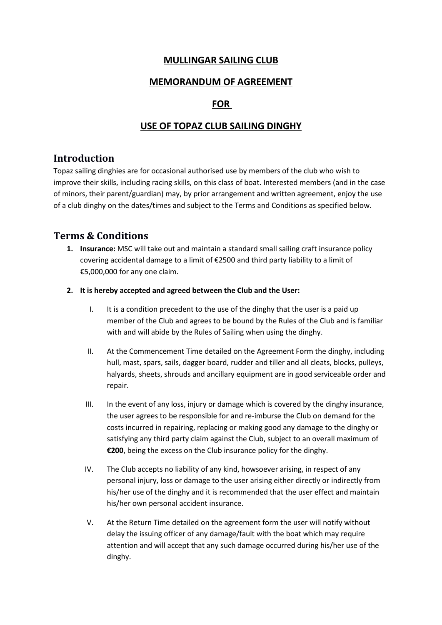#### **MULLINGAR SAILING CLUB**

#### **MEMORANDUM OF AGREEMENT**

## **FOR**

# **USE OF TOPAZ CLUB SAILING DINGHY**

## **Introduction**

Topaz sailing dinghies are for occasional authorised use by members of the club who wish to improve their skills, including racing skills, on this class of boat. Interested members (and in the case of minors, their parent/guardian) may, by prior arrangement and written agreement, enjoy the use of a club dinghy on the dates/times and subject to the Terms and Conditions as specified below.

# **Terms & Conditions**

- **1. Insurance:** MSC will take out and maintain a standard small sailing craft insurance policy covering accidental damage to a limit of  $\epsilon$ 2500 and third party liability to a limit of €5,000,000 for any one claim.
- **2. It is hereby accepted and agreed between the Club and the User:**
	- I. It is a condition precedent to the use of the dinghy that the user is a paid up member of the Club and agrees to be bound by the Rules of the Club and is familiar with and will abide by the Rules of Sailing when using the dinghy.
	- II. At the Commencement Time detailed on the Agreement Form the dinghy, including hull, mast, spars, sails, dagger board, rudder and tiller and all cleats, blocks, pulleys, halyards, sheets, shrouds and ancillary equipment are in good serviceable order and repair.
	- III. In the event of any loss, injury or damage which is covered by the dinghy insurance, the user agrees to be responsible for and re-imburse the Club on demand for the costs incurred in repairing, replacing or making good any damage to the dinghy or satisfying any third party claim against the Club, subject to an overall maximum of **€200**, being the excess on the Club insurance policy for the dinghy.
	- IV. The Club accepts no liability of any kind, howsoever arising, in respect of any personal injury, loss or damage to the user arising either directly or indirectly from his/her use of the dinghy and it is recommended that the user effect and maintain his/her own personal accident insurance.
	- V. At the Return Time detailed on the agreement form the user will notify without delay the issuing officer of any damage/fault with the boat which may require attention and will accept that any such damage occurred during his/her use of the dinghy.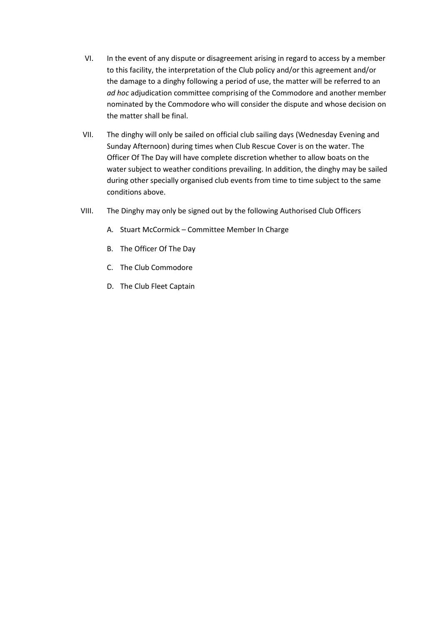- VI. In the event of any dispute or disagreement arising in regard to access by a member to this facility, the interpretation of the Club policy and/or this agreement and/or the damage to a dinghy following a period of use, the matter will be referred to an *ad hoc* adjudication committee comprising of the Commodore and another member nominated by the Commodore who will consider the dispute and whose decision on the matter shall be final.
- VII. The dinghy will only be sailed on official club sailing days (Wednesday Evening and Sunday Afternoon) during times when Club Rescue Cover is on the water. The Officer Of The Day will have complete discretion whether to allow boats on the water subject to weather conditions prevailing. In addition, the dinghy may be sailed during other specially organised club events from time to time subject to the same conditions above.
- VIII. The Dinghy may only be signed out by the following Authorised Club Officers
	- A. Stuart McCormick Committee Member In Charge
	- B. The Officer Of The Day
	- C. The Club Commodore
	- D. The Club Fleet Captain